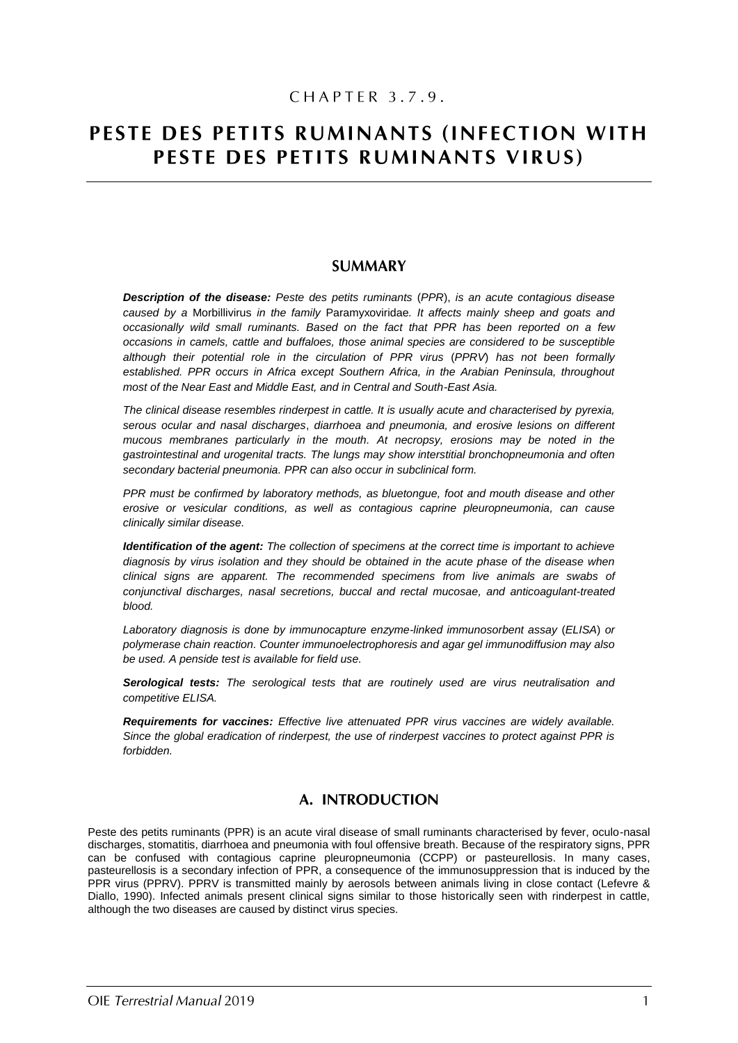# CHAPTER 3.7.9.

# PESTE DES PETITS RUMINANTS (INFECTION WITH PESTE DES PETITS RUMINANTS VIRUS)

# **SUMMARY**

*Description of the disease: Peste des petits ruminants* (*PPR*), *is an acute contagious disease caused by a* Morbillivirus *in the family* Paramyxoviridae*. It affects mainly sheep and goats and occasionally wild small ruminants. Based on the fact that PPR has been reported on a few occasions in camels, cattle and buffaloes, those animal species are considered to be susceptible although their potential role in the circulation of PPR virus* (*PPRV*) *has not been formally established. PPR occurs in Africa except Southern Africa, in the Arabian Peninsula, throughout most of the Near East and Middle East, and in Central and South-East Asia.*

*The clinical disease resembles rinderpest in cattle. It is usually acute and characterised by pyrexia, serous ocular and nasal discharges*, *diarrhoea and pneumonia, and erosive lesions on different mucous membranes particularly in the mouth. At necropsy, erosions may be noted in the gastrointestinal and urogenital tracts. The lungs may show interstitial bronchopneumonia and often secondary bacterial pneumonia. PPR can also occur in subclinical form.*

*PPR must be confirmed by laboratory methods, as bluetongue, foot and mouth disease and other erosive or vesicular conditions, as well as contagious caprine pleuropneumonia, can cause clinically similar disease.*

*Identification of the agent: The collection of specimens at the correct time is important to achieve diagnosis by virus isolation and they should be obtained in the acute phase of the disease when clinical signs are apparent. The recommended specimens from live animals are swabs of conjunctival discharges, nasal secretions, buccal and rectal mucosae, and anticoagulant-treated blood.*

*Laboratory diagnosis is done by immunocapture enzyme-linked immunosorbent assay* (*ELISA*) *or polymerase chain reaction. Counter immunoelectrophoresis and agar gel immunodiffusion may also be used. A penside test is available for field use.*

*Serological tests: The serological tests that are routinely used are virus neutralisation and competitive ELISA.*

*Requirements for vaccines: Effective live attenuated PPR virus vaccines are widely available. Since the global eradication of rinderpest, the use of rinderpest vaccines to protect against PPR is forbidden.*

# A. INTRODUCTION

Peste des petits ruminants (PPR) is an acute viral disease of small ruminants characterised by fever, oculo-nasal discharges, stomatitis, diarrhoea and pneumonia with foul offensive breath. Because of the respiratory signs, PPR can be confused with contagious caprine pleuropneumonia (CCPP) or pasteurellosis. In many cases, pasteurellosis is a secondary infection of PPR, a consequence of the immunosuppression that is induced by the PPR virus (PPRV). PPRV is transmitted mainly by aerosols between animals living in close contact (Lefevre & Diallo, 1990). Infected animals present clinical signs similar to those historically seen with rinderpest in cattle, although the two diseases are caused by distinct virus species.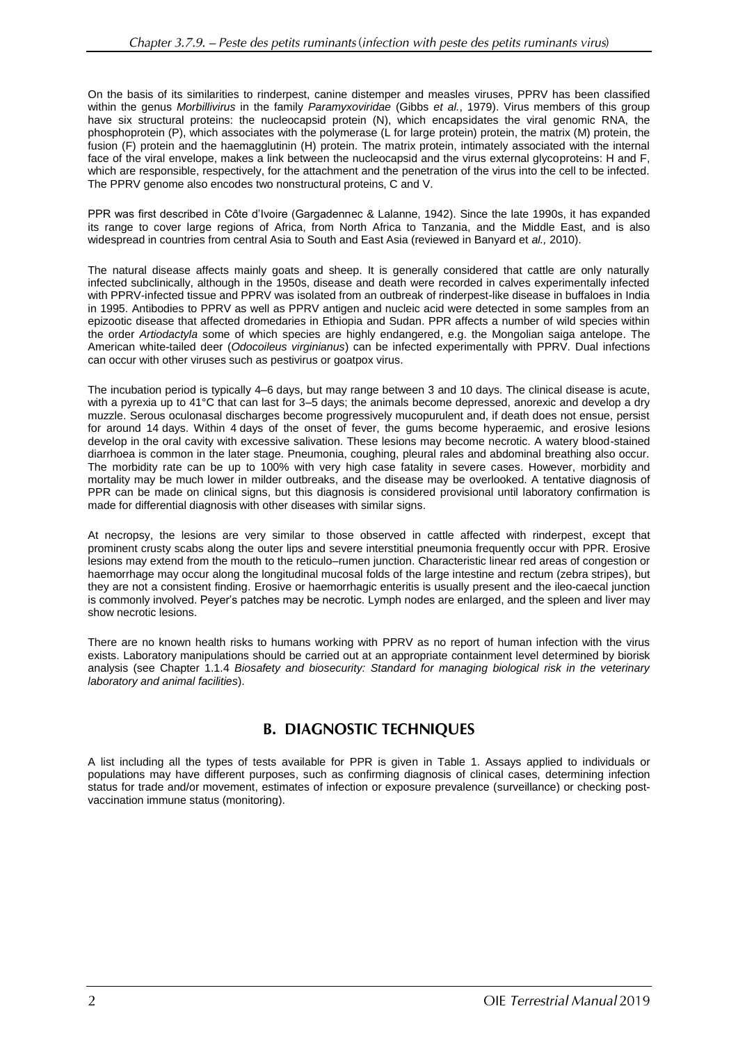On the basis of its similarities to rinderpest, canine distemper and measles viruses, PPRV has been classified within the genus *Morbillivirus* in the family *Paramyxoviridae* (Gibbs *et al.*, 1979). Virus members of this group have six structural proteins: the nucleocapsid protein (N), which encapsidates the viral genomic RNA, the phosphoprotein (P), which associates with the polymerase (L for large protein) protein, the matrix (M) protein, the fusion (F) protein and the haemagglutinin (H) protein. The matrix protein, intimately associated with the internal face of the viral envelope, makes a link between the nucleocapsid and the virus external glycoproteins: H and F, which are responsible, respectively, for the attachment and the penetration of the virus into the cell to be infected. The PPRV genome also encodes two nonstructural proteins, C and V.

PPR was first described in Côte d'Ivoire (Gargadennec & Lalanne, 1942). Since the late 1990s, it has expanded its range to cover large regions of Africa, from North Africa to Tanzania, and the Middle East, and is also widespread in countries from central Asia to South and East Asia (reviewed in Banyard et *al.,* 2010).

The natural disease affects mainly goats and sheep. It is generally considered that cattle are only naturally infected subclinically, although in the 1950s, disease and death were recorded in calves experimentally infected with PPRV-infected tissue and PPRV was isolated from an outbreak of rinderpest-like disease in buffaloes in India in 1995. Antibodies to PPRV as well as PPRV antigen and nucleic acid were detected in some samples from an epizootic disease that affected dromedaries in Ethiopia and Sudan. PPR affects a number of wild species within the order *Artiodactyla* some of which species are highly endangered, e.g. the Mongolian saiga antelope. The American white-tailed deer (*Odocoileus virginianus*) can be infected experimentally with PPRV. Dual infections can occur with other viruses such as pestivirus or goatpox virus.

The incubation period is typically 4–6 days, but may range between 3 and 10 days. The clinical disease is acute, with a pyrexia up to 41°C that can last for 3–5 days; the animals become depressed, anorexic and develop a dry muzzle. Serous oculonasal discharges become progressively mucopurulent and, if death does not ensue, persist for around 14 days. Within 4 days of the onset of fever, the gums become hyperaemic, and erosive lesions develop in the oral cavity with excessive salivation. These lesions may become necrotic. A watery blood-stained diarrhoea is common in the later stage. Pneumonia, coughing, pleural rales and abdominal breathing also occur. The morbidity rate can be up to 100% with very high case fatality in severe cases. However, morbidity and mortality may be much lower in milder outbreaks, and the disease may be overlooked. A tentative diagnosis of PPR can be made on clinical signs, but this diagnosis is considered provisional until laboratory confirmation is made for differential diagnosis with other diseases with similar signs.

At necropsy, the lesions are very similar to those observed in cattle affected with rinderpest, except that prominent crusty scabs along the outer lips and severe interstitial pneumonia frequently occur with PPR. Erosive lesions may extend from the mouth to the reticulo–rumen junction. Characteristic linear red areas of congestion or haemorrhage may occur along the longitudinal mucosal folds of the large intestine and rectum (zebra stripes), but they are not a consistent finding. Erosive or haemorrhagic enteritis is usually present and the ileo-caecal junction is commonly involved. Peyer's patches may be necrotic. Lymph nodes are enlarged, and the spleen and liver may show necrotic lesions.

There are no known health risks to humans working with PPRV as no report of human infection with the virus exists. Laboratory manipulations should be carried out at an appropriate containment level determined by biorisk analysis (see Chapter 1.1.4 *Biosafety and biosecurity: Standard for managing biological risk in the veterinary laboratory and animal facilities*).

# **B. DIAGNOSTIC TECHNIQUES**

A list including all the types of tests available for PPR is given in Table 1. Assays applied to individuals or populations may have different purposes, such as confirming diagnosis of clinical cases, determining infection status for trade and/or movement, estimates of infection or exposure prevalence (surveillance) or checking postvaccination immune status (monitoring).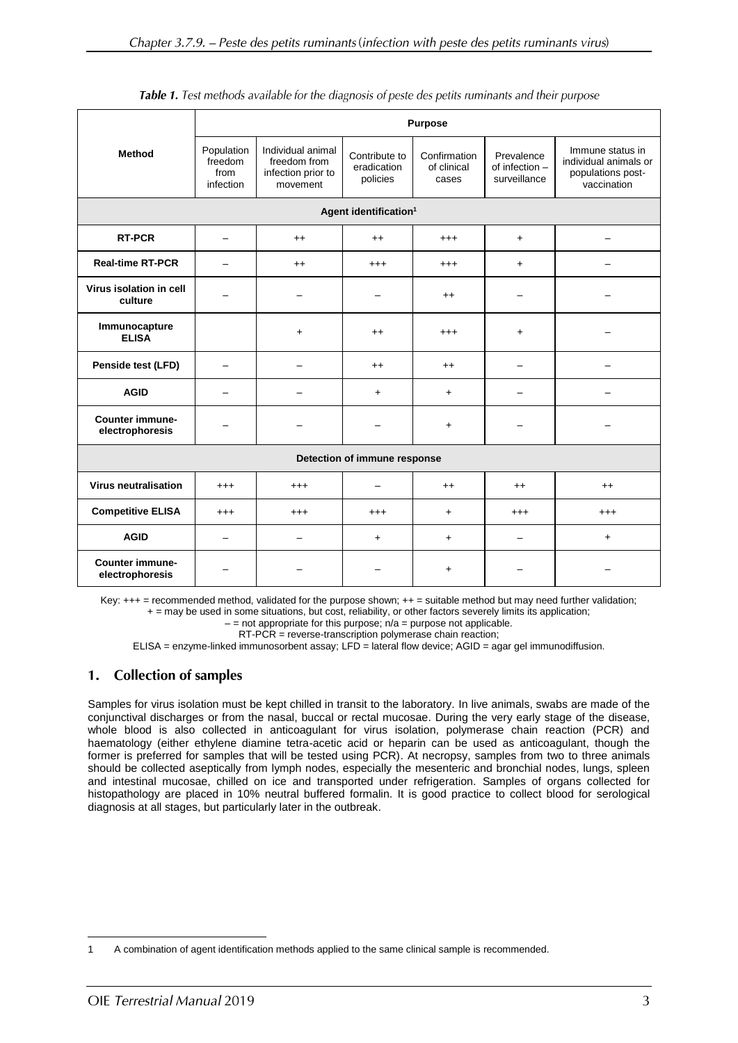|                                           | <b>Purpose</b>                             |                                                                     |                                          |                                      |                                              |                                                                               |
|-------------------------------------------|--------------------------------------------|---------------------------------------------------------------------|------------------------------------------|--------------------------------------|----------------------------------------------|-------------------------------------------------------------------------------|
| <b>Method</b>                             | Population<br>freedom<br>from<br>infection | Individual animal<br>freedom from<br>infection prior to<br>movement | Contribute to<br>eradication<br>policies | Confirmation<br>of clinical<br>cases | Prevalence<br>of infection -<br>surveillance | Immune status in<br>individual animals or<br>populations post-<br>vaccination |
|                                           |                                            |                                                                     | Agent identification <sup>1</sup>        |                                      |                                              |                                                                               |
| <b>RT-PCR</b>                             |                                            | $++$                                                                | $^{++}$                                  | $^{+++}$                             | $+$                                          |                                                                               |
| <b>Real-time RT-PCR</b>                   |                                            | $++$                                                                | $^{+++}$                                 | $^{+++}$                             | $+$                                          |                                                                               |
| Virus isolation in cell<br>culture        |                                            |                                                                     |                                          | $^{++}$                              |                                              |                                                                               |
| Immunocapture<br><b>ELISA</b>             |                                            | $+$                                                                 | $^{++}$                                  | $^{+++}$                             | $+$                                          |                                                                               |
| Penside test (LFD)                        |                                            |                                                                     | $^{++}$                                  | $^{++}$                              | $\overline{\phantom{0}}$                     |                                                                               |
| <b>AGID</b>                               |                                            |                                                                     | $+$                                      | $+$                                  |                                              |                                                                               |
| <b>Counter immune-</b><br>electrophoresis |                                            |                                                                     |                                          | $+$                                  |                                              |                                                                               |
| Detection of immune response              |                                            |                                                                     |                                          |                                      |                                              |                                                                               |
| <b>Virus neutralisation</b>               | $^{+++}$                                   | $^{+++}$                                                            |                                          | $^{++}$                              | $^{++}$                                      | $^{++}$                                                                       |
| <b>Competitive ELISA</b>                  | $^{+++}$                                   | $^{+++}$                                                            | $^{+++}$                                 | $\ddot{}$                            | $^{+++}$                                     | $^{+++}$                                                                      |
| <b>AGID</b>                               | $\overline{\phantom{0}}$                   |                                                                     | $+$                                      | $\ddot{}$                            | $\overline{\phantom{0}}$                     | $\ddot{}$                                                                     |
| <b>Counter immune-</b><br>electrophoresis | -                                          |                                                                     |                                          | +                                    |                                              |                                                                               |

| Table 1. Test methods available for the diagnosis of peste des petits ruminants and their purpose |  |  |  |
|---------------------------------------------------------------------------------------------------|--|--|--|
|---------------------------------------------------------------------------------------------------|--|--|--|

Key: +++ = recommended method, validated for the purpose shown; ++ = suitable method but may need further validation; + = may be used in some situations, but cost, reliability, or other factors severely limits its application;

 $-$  = not appropriate for this purpose;  $n/a$  = purpose not applicable.

RT-PCR = reverse-transcription polymerase chain reaction;

ELISA = enzyme-linked immunosorbent assay; LFD = lateral flow device; AGID = agar gel immunodiffusion.

#### **Collection of samples** 1.

Samples for virus isolation must be kept chilled in transit to the laboratory. In live animals, swabs are made of the conjunctival discharges or from the nasal, buccal or rectal mucosae. During the very early stage of the disease, whole blood is also collected in anticoagulant for virus isolation, polymerase chain reaction (PCR) and haematology (either ethylene diamine tetra-acetic acid or heparin can be used as anticoagulant, though the former is preferred for samples that will be tested using PCR). At necropsy, samples from two to three animals should be collected aseptically from lymph nodes, especially the mesenteric and bronchial nodes, lungs, spleen and intestinal mucosae, chilled on ice and transported under refrigeration. Samples of organs collected for histopathology are placed in 10% neutral buffered formalin. It is good practice to collect blood for serological diagnosis at all stages, but particularly later in the outbreak.

 $\overline{a}$ 1 A combination of agent identification methods applied to the same clinical sample is recommended.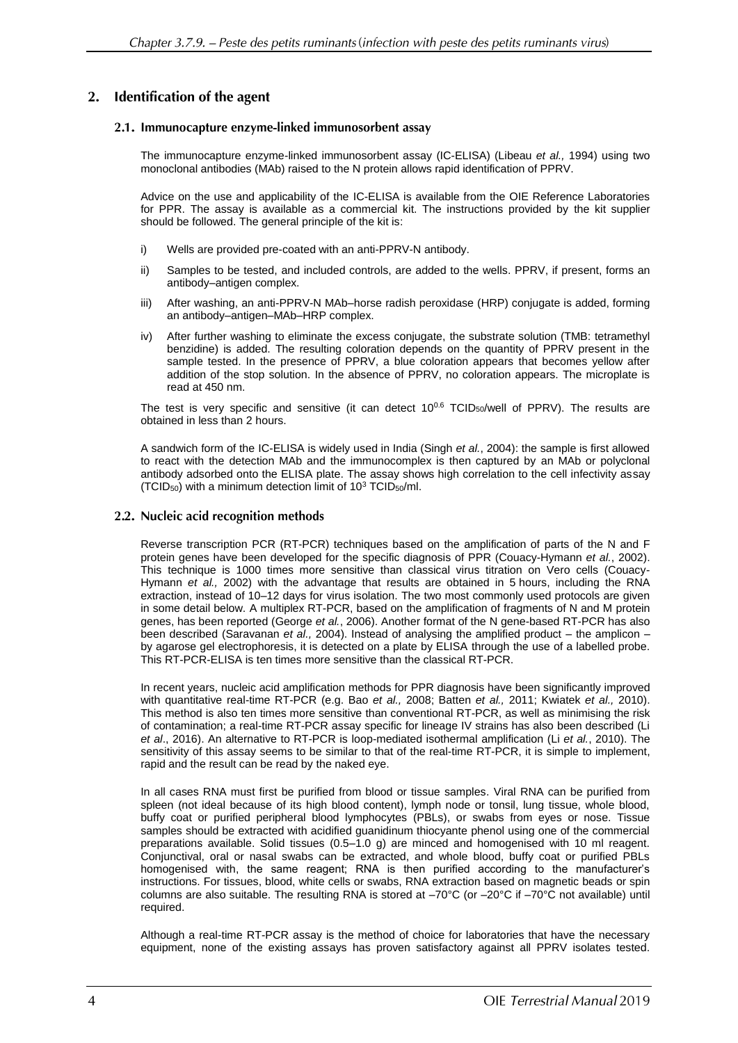#### **Identification of the agent**  $2.$

# 2.1. Immunocapture enzyme-linked immunosorbent assay

The immunocapture enzyme-linked immunosorbent assay (IC-ELISA) (Libeau *et al.,* 1994) using two monoclonal antibodies (MAb) raised to the N protein allows rapid identification of PPRV.

Advice on the use and applicability of the IC-ELISA is available from the OIE Reference Laboratories for PPR. The assay is available as a commercial kit. The instructions provided by the kit supplier should be followed. The general principle of the kit is:

- i) Wells are provided pre-coated with an anti-PPRV-N antibody.
- ii) Samples to be tested, and included controls, are added to the wells. PPRV, if present, forms an antibody–antigen complex.
- iii) After washing, an anti-PPRV-N MAb–horse radish peroxidase (HRP) conjugate is added, forming an antibody–antigen–MAb–HRP complex.
- iv) After further washing to eliminate the excess conjugate, the substrate solution (TMB: tetramethyl benzidine) is added. The resulting coloration depends on the quantity of PPRV present in the sample tested. In the presence of PPRV, a blue coloration appears that becomes yellow after addition of the stop solution. In the absence of PPRV, no coloration appears. The microplate is read at 450 nm.

The test is very specific and sensitive (it can detect  $10^{0.6}$  TCID<sub>50</sub>/well of PPRV). The results are obtained in less than 2 hours.

A sandwich form of the IC-ELISA is widely used in India (Singh *et al.*, 2004): the sample is first allowed to react with the detection MAb and the immunocomplex is then captured by an MAb or polyclonal antibody adsorbed onto the ELISA plate. The assay shows high correlation to the cell infectivity assay (TCID<sub>50</sub>) with a minimum detection limit of  $10^3$  TCID<sub>50</sub>/ml.

# 2.2. Nucleic acid recognition methods

Reverse transcription PCR (RT-PCR) techniques based on the amplification of parts of the N and F protein genes have been developed for the specific diagnosis of PPR (Couacy-Hymann *et al.*, 2002). This technique is 1000 times more sensitive than classical virus titration on Vero cells (Couacy-Hymann *et al.,* 2002) with the advantage that results are obtained in 5 hours, including the RNA extraction, instead of 10–12 days for virus isolation. The two most commonly used protocols are given in some detail below. A multiplex RT-PCR, based on the amplification of fragments of N and M protein genes, has been reported (George *et al.*, 2006). Another format of the N gene-based RT-PCR has also been described (Saravanan *et al.,* 2004). Instead of analysing the amplified product – the amplicon – by agarose gel electrophoresis, it is detected on a plate by ELISA through the use of a labelled probe. This RT-PCR-ELISA is ten times more sensitive than the classical RT-PCR.

In recent years, nucleic acid amplification methods for PPR diagnosis have been significantly improved with quantitative real-time RT-PCR (e.g. Bao *et al.,* 2008; Batten *et al.,* 2011; Kwiatek *et al.,* 2010). This method is also ten times more sensitive than conventional RT-PCR, as well as minimising the risk of contamination; a real-time RT-PCR assay specific for lineage IV strains has also been described (Li *et al*., 2016). An alternative to RT-PCR is loop-mediated isothermal amplification (Li *et al.*, 2010). The sensitivity of this assay seems to be similar to that of the real-time RT-PCR, it is simple to implement, rapid and the result can be read by the naked eye.

In all cases RNA must first be purified from blood or tissue samples. Viral RNA can be purified from spleen (not ideal because of its high blood content), lymph node or tonsil, lung tissue, whole blood, buffy coat or purified peripheral blood lymphocytes (PBLs), or swabs from eyes or nose. Tissue samples should be extracted with acidified guanidinum thiocyante phenol using one of the commercial preparations available. Solid tissues (0.5–1.0 g) are minced and homogenised with 10 ml reagent. Conjunctival, oral or nasal swabs can be extracted, and whole blood, buffy coat or purified PBLs homogenised with, the same reagent; RNA is then purified according to the manufacturer's instructions. For tissues, blood, white cells or swabs, RNA extraction based on magnetic beads or spin columns are also suitable. The resulting RNA is stored at –70°C (or –20°C if –70°C not available) until required.

Although a real-time RT-PCR assay is the method of choice for laboratories that have the necessary equipment, none of the existing assays has proven satisfactory against all PPRV isolates tested.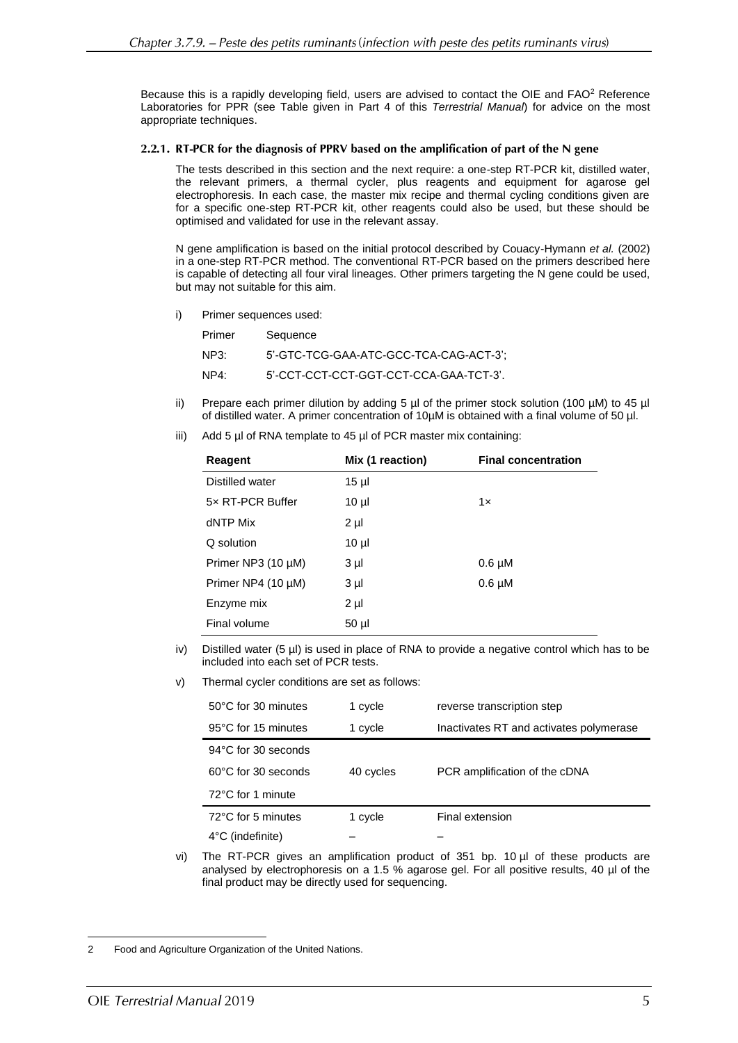Because this is a rapidly developing field, users are advised to contact the OIE and FAO<sup>2</sup> Reference Laboratories for PPR (see Table given in Part 4 of this *Terrestrial Manual*) for advice on the most appropriate techniques.

## 2.2.1. RT-PCR for the diagnosis of PPRV based on the amplification of part of the N gene

The tests described in this section and the next require: a one-step RT-PCR kit, distilled water, the relevant primers, a thermal cycler, plus reagents and equipment for agarose gel electrophoresis. In each case, the master mix recipe and thermal cycling conditions given are for a specific one-step RT-PCR kit, other reagents could also be used, but these should be optimised and validated for use in the relevant assay.

N gene amplification is based on the initial protocol described by Couacy-Hymann *et al.* (2002) in a one-step RT-PCR method. The conventional RT-PCR based on the primers described here is capable of detecting all four viral lineages. Other primers targeting the N gene could be used, but may not suitable for this aim.

i) Primer sequences used:

| Primer | Sequence                               |
|--------|----------------------------------------|
| NP3:   | 5'-GTC-TCG-GAA-ATC-GCC-TCA-CAG-ACT-3'; |
| NP4:   | 5'-CCT-CCT-CCT-GGT-CCT-CCA-GAA-TCT-3'. |

- ii) Prepare each primer dilution by adding 5 µl of the primer stock solution (100 µM) to 45 µl of distilled water. A primer concentration of 10µM is obtained with a final volume of 50 µl.
- iii) Add 5 µl of RNA template to 45 µl of PCR master mix containing:

| Reagent                 | Mix (1 reaction) | <b>Final concentration</b> |  |
|-------------------------|------------------|----------------------------|--|
| Distilled water         | $15 \mu$         |                            |  |
| 5x RT-PCR Buffer        | $10 \mu$         | 1x                         |  |
| dNTP Mix                | $2 \mu$          |                            |  |
| Q solution              | $10 \mu$         |                            |  |
| Primer NP3 $(10 \mu M)$ | $3 \mu$          | $0.6 \mu M$                |  |
| Primer NP4 $(10 \mu M)$ | $3 \mu$          | $0.6 \mu M$                |  |
| Enzyme mix              | $2 \mu$          |                            |  |
| Final volume            | $50 \mu$         |                            |  |

- iv) Distilled water (5 µl) is used in place of RNA to provide a negative control which has to be included into each set of PCR tests.
- v) Thermal cycler conditions are set as follows:

| 50°C for 30 minutes           | 1 cycle   | reverse transcription step              |
|-------------------------------|-----------|-----------------------------------------|
| 95°C for 15 minutes           | 1 cycle   | Inactivates RT and activates polymerase |
| 94°C for 30 seconds           |           |                                         |
| $60^{\circ}$ C for 30 seconds | 40 cycles | PCR amplification of the cDNA           |
| 72°C for 1 minute             |           |                                         |
| 72°C for 5 minutes            | 1 cycle   | Final extension                         |
| $4^{\circ}$ C (indefinite)    |           |                                         |

vi) The RT-PCR gives an amplification product of 351 bp. 10 µl of these products are analysed by electrophoresis on a 1.5 % agarose gel. For all positive results, 40 µl of the final product may be directly used for sequencing.

 $\overline{a}$ 2 Food and Agriculture Organization of the United Nations.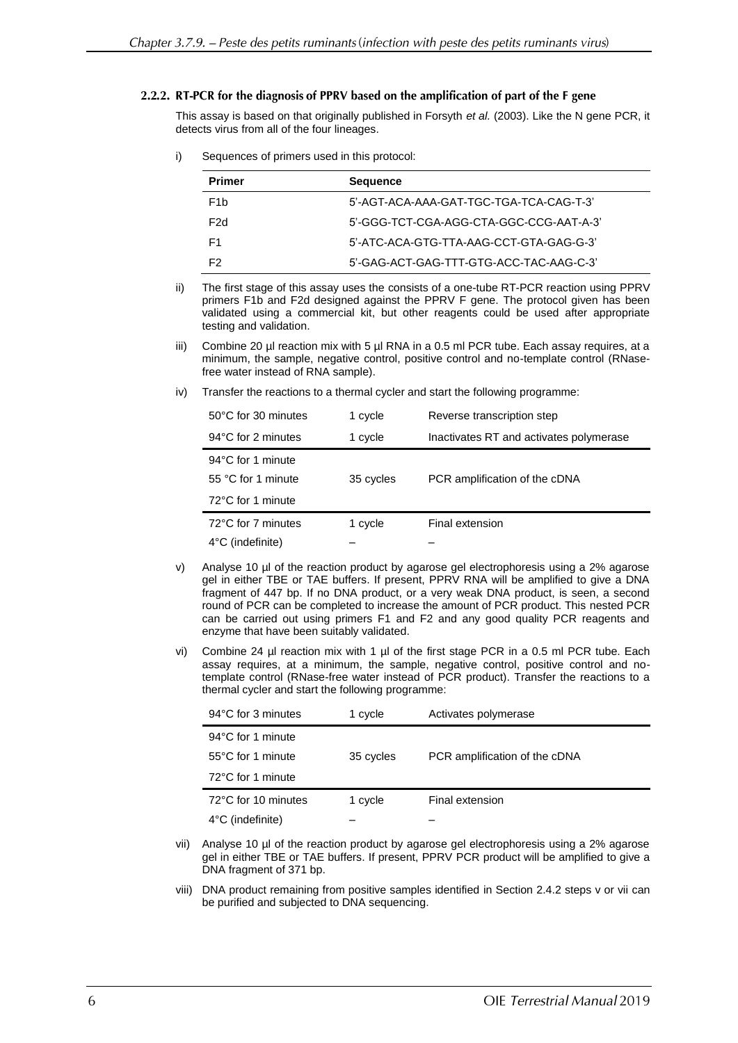## 2.2.2. RT-PCR for the diagnosis of PPRV based on the amplification of part of the F gene

This assay is based on that originally published in Forsyth *et al.* (2003). Like the N gene PCR, it detects virus from all of the four lineages.

i) Sequences of primers used in this protocol:

| <b>Primer</b>    | <b>Sequence</b>                         |
|------------------|-----------------------------------------|
| F <sub>1</sub> h | 5'-AGT-ACA-AAA-GAT-TGC-TGA-TCA-CAG-T-3' |
| F <sub>2</sub> d | 5'-GGG-TCT-CGA-AGG-CTA-GGC-CCG-AAT-A-3' |
| F1.              | 5'-ATC-ACA-GTG-TTA-AAG-CCT-GTA-GAG-G-3' |
| F2.              | 5'-GAG-ACT-GAG-TTT-GTG-ACC-TAC-AAG-C-3' |

ii) The first stage of this assay uses the consists of a one-tube RT-PCR reaction using PPRV primers F1b and F2d designed against the PPRV F gene. The protocol given has been validated using a commercial kit, but other reagents could be used after appropriate testing and validation.

- iii) Combine 20 µl reaction mix with 5 µl RNA in a 0.5 ml PCR tube. Each assay requires, at a minimum, the sample, negative control, positive control and no-template control (RNasefree water instead of RNA sample).
- iv) Transfer the reactions to a thermal cycler and start the following programme:

| 50°C for 30 minutes        | 1 cycle   | Reverse transcription step              |
|----------------------------|-----------|-----------------------------------------|
| 94°C for 2 minutes         | 1 cycle   | Inactivates RT and activates polymerase |
| 94°C for 1 minute          |           |                                         |
| 55 °C for 1 minute         | 35 cycles | PCR amplification of the cDNA           |
| 72°C for 1 minute          |           |                                         |
| 72°C for 7 minutes         | 1 cycle   | Final extension                         |
| $4^{\circ}$ C (indefinite) |           |                                         |

- v) Analyse 10 µl of the reaction product by agarose gel electrophoresis using a 2% agarose gel in either TBE or TAE buffers. If present, PPRV RNA will be amplified to give a DNA fragment of 447 bp. If no DNA product, or a very weak DNA product, is seen, a second round of PCR can be completed to increase the amount of PCR product. This nested PCR can be carried out using primers F1 and F2 and any good quality PCR reagents and enzyme that have been suitably validated.
- vi) Combine 24  $\mu$ I reaction mix with 1  $\mu$ I of the first stage PCR in a 0.5 ml PCR tube. Each assay requires, at a minimum, the sample, negative control, positive control and notemplate control (RNase-free water instead of PCR product). Transfer the reactions to a thermal cycler and start the following programme:

| 94°C for 3 minutes         | 1 cycle   | Activates polymerase          |
|----------------------------|-----------|-------------------------------|
| 94°C for 1 minute          |           |                               |
| 55°C for 1 minute          | 35 cycles | PCR amplification of the cDNA |
| 72°C for 1 minute          |           |                               |
| 72°C for 10 minutes        | 1 cycle   | Final extension               |
| $4^{\circ}$ C (indefinite) |           |                               |

- vii) Analyse 10 µl of the reaction product by agarose gel electrophoresis using a 2% agarose gel in either TBE or TAE buffers. If present, PPRV PCR product will be amplified to give a DNA fragment of 371 bp.
- viii) DNA product remaining from positive samples identified in Section 2.4.2 steps v or vii can be purified and subjected to DNA sequencing.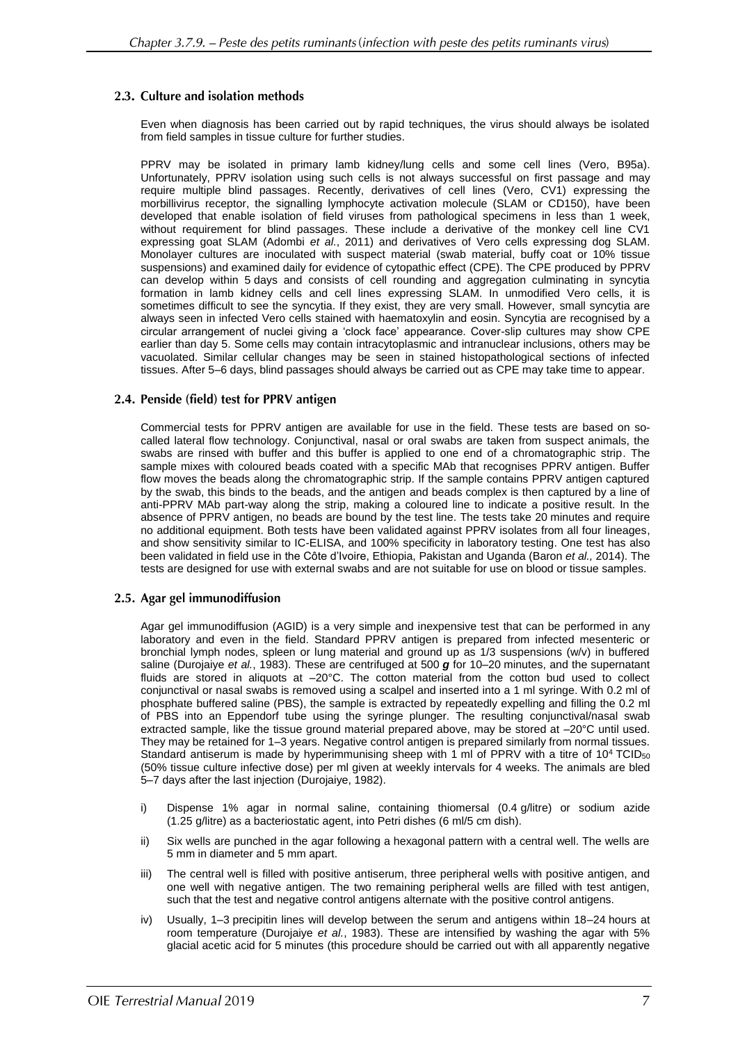# 2.3. Culture and isolation methods

Even when diagnosis has been carried out by rapid techniques, the virus should always be isolated from field samples in tissue culture for further studies.

PPRV may be isolated in primary lamb kidney/lung cells and some cell lines (Vero, B95a). Unfortunately, PPRV isolation using such cells is not always successful on first passage and may require multiple blind passages. Recently, derivatives of cell lines (Vero, CV1) expressing the morbillivirus receptor, the signalling lymphocyte activation molecule (SLAM or CD150), have been developed that enable isolation of field viruses from pathological specimens in less than 1 week, without requirement for blind passages. These include a derivative of the monkey cell line CV1 expressing goat SLAM (Adombi *et al.*, 2011) and derivatives of Vero cells expressing dog SLAM. Monolayer cultures are inoculated with suspect material (swab material, buffy coat or 10% tissue suspensions) and examined daily for evidence of cytopathic effect (CPE). The CPE produced by PPRV can develop within 5 days and consists of cell rounding and aggregation culminating in syncytia formation in lamb kidney cells and cell lines expressing SLAM. In unmodified Vero cells, it is sometimes difficult to see the syncytia. If they exist, they are very small. However, small syncytia are always seen in infected Vero cells stained with haematoxylin and eosin. Syncytia are recognised by a circular arrangement of nuclei giving a 'clock face' appearance. Cover-slip cultures may show CPE earlier than day 5. Some cells may contain intracytoplasmic and intranuclear inclusions, others may be vacuolated. Similar cellular changes may be seen in stained histopathological sections of infected tissues. After 5–6 days, blind passages should always be carried out as CPE may take time to appear.

## 2.4. Penside (field) test for PPRV antigen

Commercial tests for PPRV antigen are available for use in the field. These tests are based on socalled lateral flow technology. Conjunctival, nasal or oral swabs are taken from suspect animals, the swabs are rinsed with buffer and this buffer is applied to one end of a chromatographic strip. The sample mixes with coloured beads coated with a specific MAb that recognises PPRV antigen. Buffer flow moves the beads along the chromatographic strip. If the sample contains PPRV antigen captured by the swab, this binds to the beads, and the antigen and beads complex is then captured by a line of anti-PPRV MAb part-way along the strip, making a coloured line to indicate a positive result. In the absence of PPRV antigen, no beads are bound by the test line. The tests take 20 minutes and require no additional equipment. Both tests have been validated against PPRV isolates from all four lineages, and show sensitivity similar to IC-ELISA, and 100% specificity in laboratory testing. One test has also been validated in field use in the Côte d'Ivoire, Ethiopia, Pakistan and Uganda (Baron *et al.,* 2014). The tests are designed for use with external swabs and are not suitable for use on blood or tissue samples.

## 2.5. Agar gel immunodiffusion

Agar gel immunodiffusion (AGID) is a very simple and inexpensive test that can be performed in any laboratory and even in the field. Standard PPRV antigen is prepared from infected mesenteric or bronchial lymph nodes, spleen or lung material and ground up as 1/3 suspensions (w/v) in buffered saline (Durojaiye *et al.*, 1983). These are centrifuged at 500 *g* for 10–20 minutes, and the supernatant fluids are stored in aliquots at  $-20^{\circ}$ C. The cotton material from the cotton bud used to collect conjunctival or nasal swabs is removed using a scalpel and inserted into a 1 ml syringe. With 0.2 ml of phosphate buffered saline (PBS), the sample is extracted by repeatedly expelling and filling the 0.2 ml of PBS into an Eppendorf tube using the syringe plunger. The resulting conjunctival/nasal swab extracted sample, like the tissue ground material prepared above, may be stored at –20°C until used. They may be retained for 1–3 years. Negative control antigen is prepared similarly from normal tissues. Standard antiserum is made by hyperimmunising sheep with 1 ml of PPRV with a titre of  $10^4$  TCID<sub>50</sub> (50% tissue culture infective dose) per ml given at weekly intervals for 4 weeks. The animals are bled 5–7 days after the last injection (Durojaiye, 1982).

- i) Dispense 1% agar in normal saline, containing thiomersal (0.4 g/litre) or sodium azide (1.25 g/litre) as a bacteriostatic agent, into Petri dishes (6 ml/5 cm dish).
- ii) Six wells are punched in the agar following a hexagonal pattern with a central well. The wells are 5 mm in diameter and 5 mm apart.
- iii) The central well is filled with positive antiserum, three peripheral wells with positive antigen, and one well with negative antigen. The two remaining peripheral wells are filled with test antigen, such that the test and negative control antigens alternate with the positive control antigens.
- iv) Usually, 1–3 precipitin lines will develop between the serum and antigens within 18–24 hours at room temperature (Durojaiye *et al.*, 1983). These are intensified by washing the agar with 5% glacial acetic acid for 5 minutes (this procedure should be carried out with all apparently negative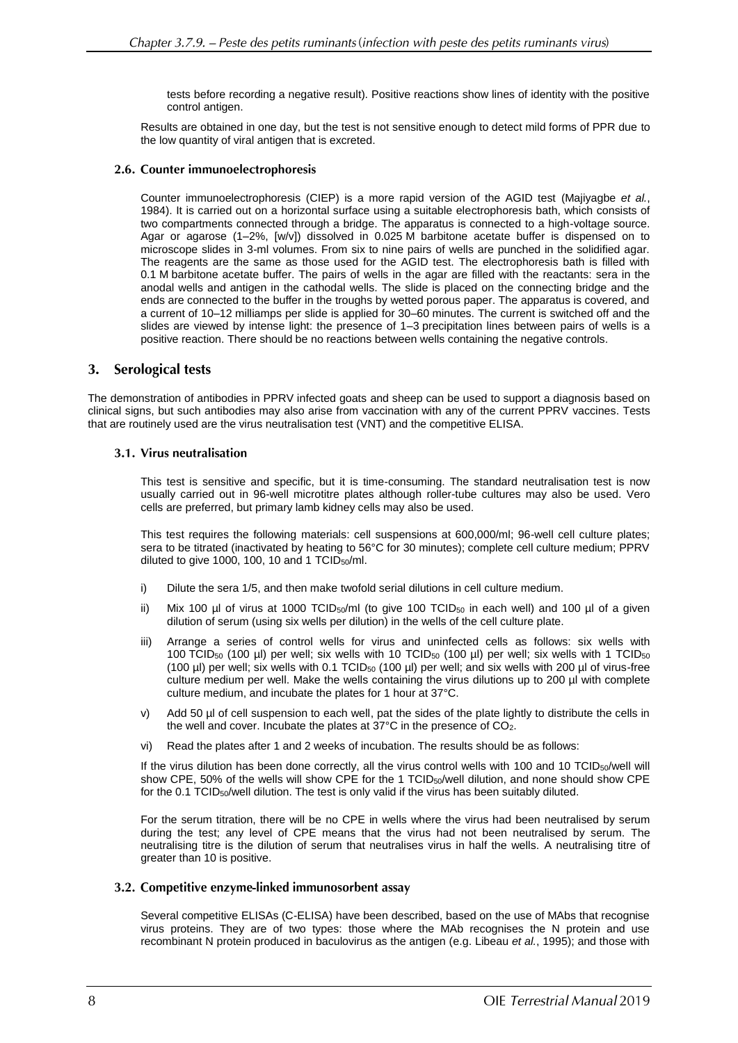tests before recording a negative result). Positive reactions show lines of identity with the positive control antigen.

Results are obtained in one day, but the test is not sensitive enough to detect mild forms of PPR due to the low quantity of viral antigen that is excreted.

# 2.6. Counter immunoelectrophoresis

Counter immunoelectrophoresis (CIEP) is a more rapid version of the AGID test (Majiyagbe *et al.*, 1984). It is carried out on a horizontal surface using a suitable electrophoresis bath, which consists of two compartments connected through a bridge. The apparatus is connected to a high-voltage source. Agar or agarose (1–2%, [w/v]) dissolved in 0.025 M barbitone acetate buffer is dispensed on to microscope slides in 3-ml volumes. From six to nine pairs of wells are punched in the solidified agar. The reagents are the same as those used for the AGID test. The electrophoresis bath is filled with 0.1 M barbitone acetate buffer. The pairs of wells in the agar are filled with the reactants: sera in the anodal wells and antigen in the cathodal wells. The slide is placed on the connecting bridge and the ends are connected to the buffer in the troughs by wetted porous paper. The apparatus is covered, and a current of 10–12 milliamps per slide is applied for 30–60 minutes. The current is switched off and the slides are viewed by intense light: the presence of 1–3 precipitation lines between pairs of wells is a positive reaction. There should be no reactions between wells containing the negative controls.

#### $3.$ **Serological tests**

The demonstration of antibodies in PPRV infected goats and sheep can be used to support a diagnosis based on clinical signs, but such antibodies may also arise from vaccination with any of the current PPRV vaccines. Tests that are routinely used are the virus neutralisation test (VNT) and the competitive ELISA.

## 3.1. Virus neutralisation

This test is sensitive and specific, but it is time-consuming. The standard neutralisation test is now usually carried out in 96-well microtitre plates although roller-tube cultures may also be used. Vero cells are preferred, but primary lamb kidney cells may also be used.

This test requires the following materials: cell suspensions at 600,000/ml; 96-well cell culture plates; sera to be titrated (inactivated by heating to 56°C for 30 minutes); complete cell culture medium; PPRV diluted to give 1000, 100, 10 and 1 TCID<sub>50</sub>/ml.

- i) Dilute the sera 1/5, and then make twofold serial dilutions in cell culture medium.
- ii) Mix 100 µl of virus at 1000 TCID<sub>50</sub>/ml (to give 100 TCID<sub>50</sub> in each well) and 100 µl of a given dilution of serum (using six wells per dilution) in the wells of the cell culture plate.
- iii) Arrange a series of control wells for virus and uninfected cells as follows: six wells with 100 TCID<sup>50</sup> (100 µl) per well; six wells with 10 TCID<sup>50</sup> (100 µl) per well; six wells with 1 TCID<sup>50</sup> (100  $\mu$ ) per well; six wells with 0.1 TCID<sub>50</sub> (100  $\mu$ ) per well; and six wells with 200  $\mu$  of virus-free culture medium per well. Make the wells containing the virus dilutions up to 200 µl with complete culture medium, and incubate the plates for 1 hour at 37°C.
- v) Add 50 µl of cell suspension to each well, pat the sides of the plate lightly to distribute the cells in the well and cover. Incubate the plates at 37°C in the presence of CO2.
- vi) Read the plates after 1 and 2 weeks of incubation. The results should be as follows:

If the virus dilution has been done correctly, all the virus control wells with 100 and 10 TCID<sub>50</sub>/well will show CPE, 50% of the wells will show CPE for the 1 TCID<sub>50</sub>/well dilution, and none should show CPE for the 0.1 TCID50/well dilution. The test is only valid if the virus has been suitably diluted.

For the serum titration, there will be no CPE in wells where the virus had been neutralised by serum during the test; any level of CPE means that the virus had not been neutralised by serum. The neutralising titre is the dilution of serum that neutralises virus in half the wells. A neutralising titre of greater than 10 is positive.

## 3.2. Competitive enzyme-linked immunosorbent assay

Several competitive ELISAs (C-ELISA) have been described, based on the use of MAbs that recognise virus proteins. They are of two types: those where the MAb recognises the N protein and use recombinant N protein produced in baculovirus as the antigen (e.g. Libeau *et al.*, 1995); and those with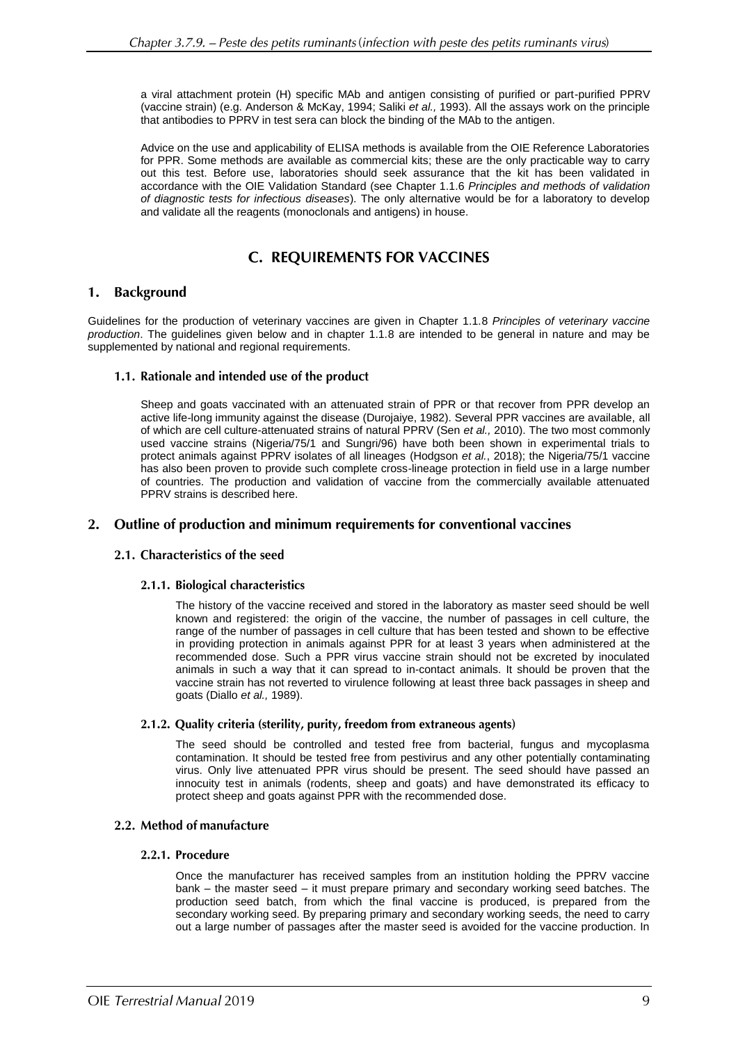a viral attachment protein (H) specific MAb and antigen consisting of purified or part-purified PPRV (vaccine strain) (e.g. Anderson & McKay, 1994; Saliki *et al.,* 1993). All the assays work on the principle that antibodies to PPRV in test sera can block the binding of the MAb to the antigen.

Advice on the use and applicability of ELISA methods is available from the OIE Reference Laboratories for PPR. Some methods are available as commercial kits; these are the only practicable way to carry out this test. Before use, laboratories should seek assurance that the kit has been validated in accordance with the OIE Validation Standard (see Chapter 1.1.6 *Principles and methods of validation of diagnostic tests for infectious diseases*). The only alternative would be for a laboratory to develop and validate all the reagents (monoclonals and antigens) in house.

# **C. REQUIREMENTS FOR VACCINES**

#### 1. **Background**

Guidelines for the production of veterinary vaccines are given in Chapter 1.1.8 *Principles of veterinary vaccine production*. The guidelines given below and in chapter 1.1.8 are intended to be general in nature and may be supplemented by national and regional requirements.

# 1.1. Rationale and intended use of the product

Sheep and goats vaccinated with an attenuated strain of PPR or that recover from PPR develop an active life-long immunity against the disease (Durojaiye, 1982). Several PPR vaccines are available, all of which are cell culture-attenuated strains of natural PPRV (Sen *et al.,* 2010). The two most commonly used vaccine strains (Nigeria/75/1 and Sungri/96) have both been shown in experimental trials to protect animals against PPRV isolates of all lineages (Hodgson *et al.*, 2018); the Nigeria/75/1 vaccine has also been proven to provide such complete cross-lineage protection in field use in a large number of countries. The production and validation of vaccine from the commercially available attenuated PPRV strains is described here.

# 2. Outline of production and minimum requirements for conventional vaccines

# 2.1. Characteristics of the seed

# 2.1.1. Biological characteristics

The history of the vaccine received and stored in the laboratory as master seed should be well known and registered: the origin of the vaccine, the number of passages in cell culture, the range of the number of passages in cell culture that has been tested and shown to be effective in providing protection in animals against PPR for at least 3 years when administered at the recommended dose. Such a PPR virus vaccine strain should not be excreted by inoculated animals in such a way that it can spread to in-contact animals. It should be proven that the vaccine strain has not reverted to virulence following at least three back passages in sheep and goats (Diallo *et al.,* 1989).

# 2.1.2. Quality criteria (sterility, purity, freedom from extraneous agents)

The seed should be controlled and tested free from bacterial, fungus and mycoplasma contamination. It should be tested free from pestivirus and any other potentially contaminating virus. Only live attenuated PPR virus should be present. The seed should have passed an innocuity test in animals (rodents, sheep and goats) and have demonstrated its efficacy to protect sheep and goats against PPR with the recommended dose.

# 2.2. Method of manufacture

## 2.2.1. Procedure

Once the manufacturer has received samples from an institution holding the PPRV vaccine bank – the master seed – it must prepare primary and secondary working seed batches. The production seed batch, from which the final vaccine is produced, is prepared from the secondary working seed. By preparing primary and secondary working seeds, the need to carry out a large number of passages after the master seed is avoided for the vaccine production. In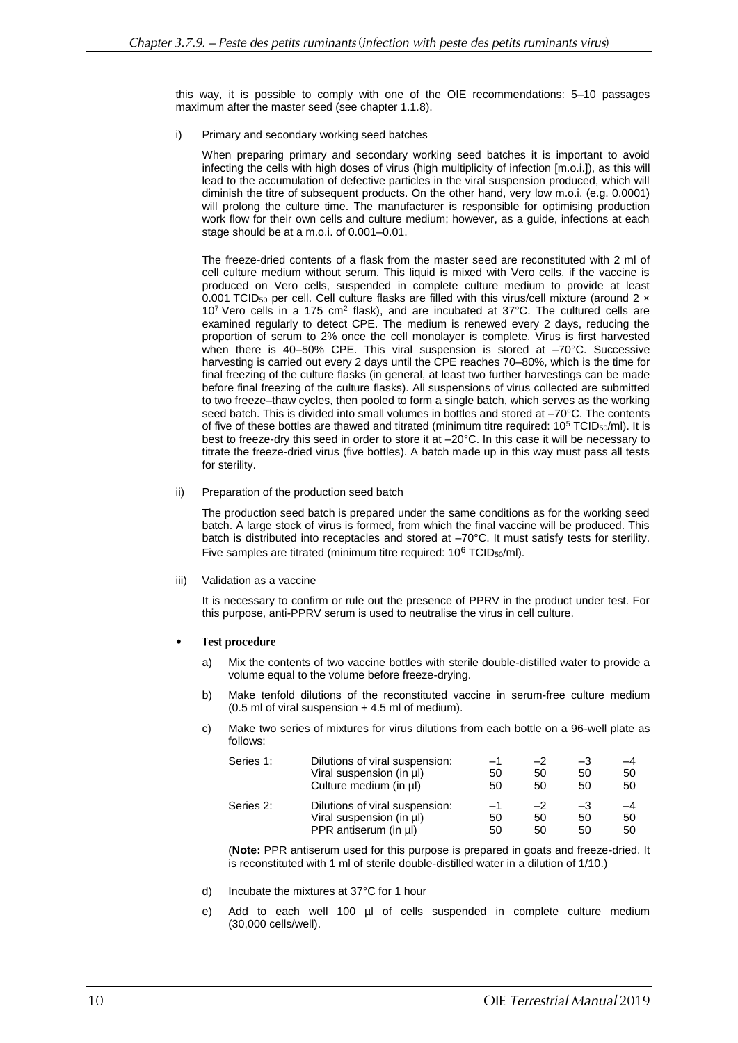this way, it is possible to comply with one of the OIE recommendations: 5–10 passages maximum after the master seed (see chapter 1.1.8).

i) Primary and secondary working seed batches

When preparing primary and secondary working seed batches it is important to avoid infecting the cells with high doses of virus (high multiplicity of infection [m.o.i.]), as this will lead to the accumulation of defective particles in the viral suspension produced, which will diminish the titre of subsequent products. On the other hand, very low m.o.i. (e.g. 0.0001) will prolong the culture time. The manufacturer is responsible for optimising production work flow for their own cells and culture medium; however, as a guide, infections at each stage should be at a m.o.i. of 0.001–0.01.

The freeze-dried contents of a flask from the master seed are reconstituted with 2 ml of cell culture medium without serum. This liquid is mixed with Vero cells, if the vaccine is produced on Vero cells, suspended in complete culture medium to provide at least 0.001 TCID<sub>50</sub> per cell. Cell culture flasks are filled with this virus/cell mixture (around 2  $\times$ 10<sup>7</sup> Vero cells in a 175 cm<sup>2</sup> flask), and are incubated at 37°C. The cultured cells are examined regularly to detect CPE. The medium is renewed every 2 days, reducing the proportion of serum to 2% once the cell monolayer is complete. Virus is first harvested when there is 40–50% CPE. This viral suspension is stored at  $-70^{\circ}$ C. Successive harvesting is carried out every 2 days until the CPE reaches 70–80%, which is the time for final freezing of the culture flasks (in general, at least two further harvestings can be made before final freezing of the culture flasks). All suspensions of virus collected are submitted to two freeze–thaw cycles, then pooled to form a single batch, which serves as the working seed batch. This is divided into small volumes in bottles and stored at –70°C. The contents of five of these bottles are thawed and titrated (minimum titre required:  $10^5$  TCID<sub>50</sub>/ml). It is best to freeze-dry this seed in order to store it at –20°C. In this case it will be necessary to titrate the freeze-dried virus (five bottles). A batch made up in this way must pass all tests for sterility.

ii) Preparation of the production seed batch

The production seed batch is prepared under the same conditions as for the working seed batch. A large stock of virus is formed, from which the final vaccine will be produced. This batch is distributed into receptacles and stored at –70°C. It must satisfy tests for sterility. Five samples are titrated (minimum titre required:  $10^6$  TCID<sub>50</sub>/ml).

iii) Validation as a vaccine

It is necessary to confirm or rule out the presence of PPRV in the product under test. For this purpose, anti-PPRV serum is used to neutralise the virus in cell culture.

- **Test procedure** 
	- a) Mix the contents of two vaccine bottles with sterile double-distilled water to provide a volume equal to the volume before freeze-drying.
	- b) Make tenfold dilutions of the reconstituted vaccine in serum-free culture medium (0.5 ml of viral suspension + 4.5 ml of medium).
	- c) Make two series of mixtures for virus dilutions from each bottle on a 96-well plate as follows:

| Series 1: | Dilutions of viral suspension: | $-1$ | $-2$ | $-3$ | $-4$ |
|-----------|--------------------------------|------|------|------|------|
|           | Viral suspension (in µl)       | 50   | 50   | 50   | 50   |
|           | Culture medium (in µl)         | 50   | 50   | 50   | 50   |
| Series 2: | Dilutions of viral suspension: | -1   | $-2$ | $-3$ | $-4$ |
|           | Viral suspension (in ul)       | 50   | 50   | 50   | 50   |
|           | PPR antiserum (in ul)          | 50   | 50   | 50   | 50   |

(**Note:** PPR antiserum used for this purpose is prepared in goats and freeze-dried. It is reconstituted with 1 ml of sterile double-distilled water in a dilution of 1/10.)

- d) Incubate the mixtures at 37°C for 1 hour
- e) Add to each well 100 µl of cells suspended in complete culture medium (30,000 cells/well).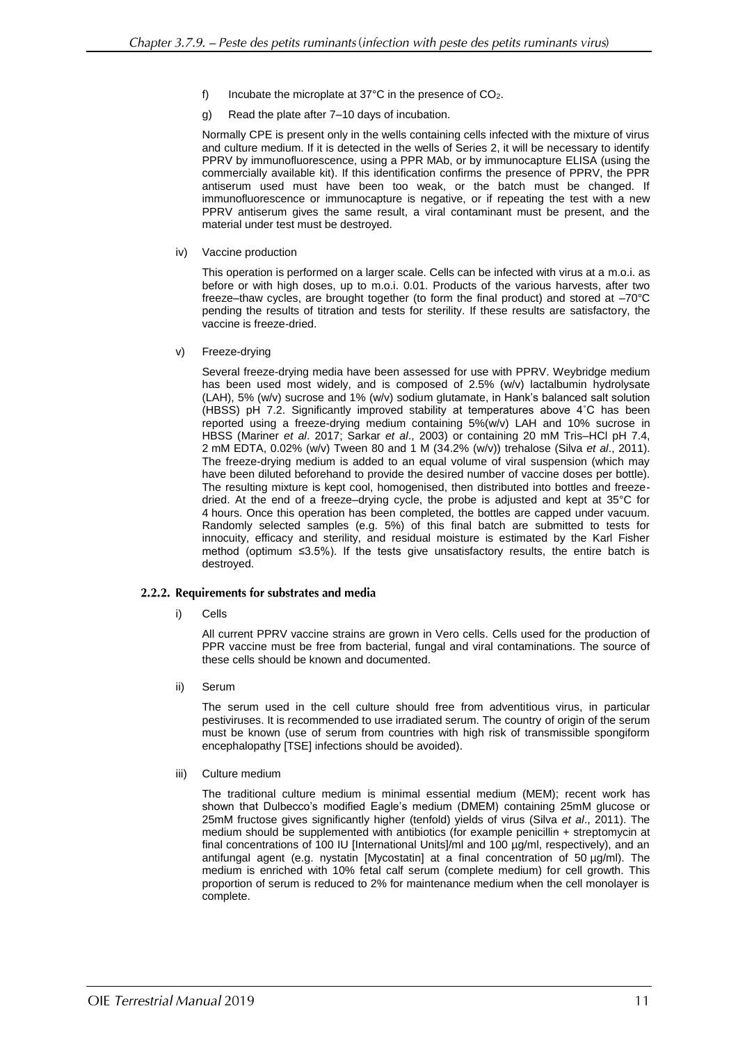- f) Incubate the microplate at 37°C in the presence of CO2.
- g) Read the plate after 7–10 days of incubation.

Normally CPE is present only in the wells containing cells infected with the mixture of virus and culture medium. If it is detected in the wells of Series 2, it will be necessary to identify PPRV by immunofluorescence, using a PPR MAb, or by immunocapture ELISA (using the commercially available kit). If this identification confirms the presence of PPRV, the PPR antiserum used must have been too weak, or the batch must be changed. If immunofluorescence or immunocapture is negative, or if repeating the test with a new PPRV antiserum gives the same result, a viral contaminant must be present, and the material under test must be destroyed.

iv) Vaccine production

This operation is performed on a larger scale. Cells can be infected with virus at a m.o.i. as before or with high doses, up to m.o.i. 0.01. Products of the various harvests, after two freeze–thaw cycles, are brought together (to form the final product) and stored at –70°C pending the results of titration and tests for sterility. If these results are satisfactory, the vaccine is freeze-dried.

v) Freeze-drying

Several freeze-drying media have been assessed for use with PPRV. Weybridge medium has been used most widely, and is composed of 2.5% (w/v) lactalbumin hydrolysate (LAH), 5% (w/v) sucrose and 1% (w/v) sodium glutamate, in Hank's balanced salt solution (HBSS) pH 7.2. Significantly improved stability at temperatures above 4˚C has been reported using a freeze-drying medium containing 5%(w/v) LAH and 10% sucrose in HBSS (Mariner *et al*. 2017; Sarkar *et al*., 2003) or containing 20 mM Tris–HCl pH 7.4, 2 mM EDTA, 0.02% (w/v) Tween 80 and 1 M (34.2% (w/v)) trehalose (Silva *et al*., 2011). The freeze-drying medium is added to an equal volume of viral suspension (which may have been diluted beforehand to provide the desired number of vaccine doses per bottle). The resulting mixture is kept cool, homogenised, then distributed into bottles and freezedried. At the end of a freeze–drying cycle, the probe is adjusted and kept at 35°C for 4 hours. Once this operation has been completed, the bottles are capped under vacuum. Randomly selected samples (e.g. 5%) of this final batch are submitted to tests for innocuity, efficacy and sterility, and residual moisture is estimated by the Karl Fisher method (optimum ≤3.5%). If the tests give unsatisfactory results, the entire batch is destroyed.

## 2.2.2. Requirements for substrates and media

i) Cells

All current PPRV vaccine strains are grown in Vero cells. Cells used for the production of PPR vaccine must be free from bacterial, fungal and viral contaminations. The source of these cells should be known and documented.

ii) Serum

The serum used in the cell culture should free from adventitious virus, in particular pestiviruses. It is recommended to use irradiated serum. The country of origin of the serum must be known (use of serum from countries with high risk of transmissible spongiform encephalopathy [TSE] infections should be avoided).

iii) Culture medium

The traditional culture medium is minimal essential medium (MEM); recent work has shown that Dulbecco's modified Eagle's medium (DMEM) containing 25mM glucose or 25mM fructose gives significantly higher (tenfold) yields of virus (Silva *et al*., 2011). The medium should be supplemented with antibiotics (for example penicillin + streptomycin at final concentrations of 100 IU [International Units]/ml and 100 µg/ml, respectively), and an antifungal agent (e.g. nystatin [Mycostatin] at a final concentration of  $50 \mu g/ml$ . The medium is enriched with 10% fetal calf serum (complete medium) for cell growth. This proportion of serum is reduced to 2% for maintenance medium when the cell monolayer is complete.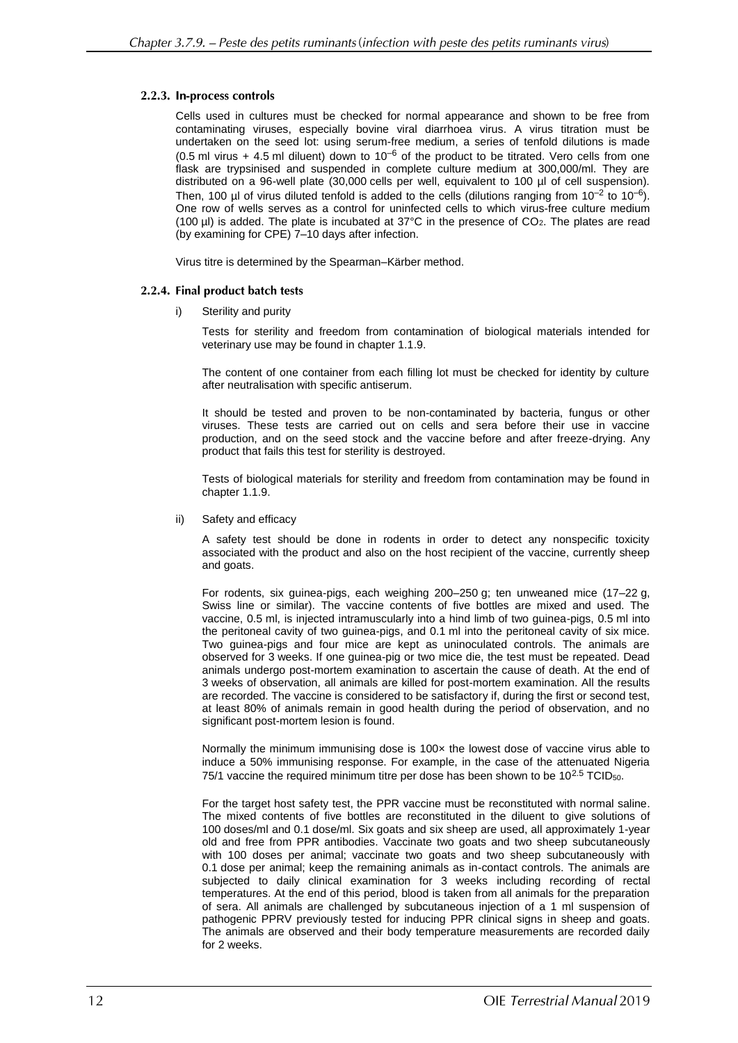# 2.2.3. In-process controls

Cells used in cultures must be checked for normal appearance and shown to be free from contaminating viruses, especially bovine viral diarrhoea virus. A virus titration must be undertaken on the seed lot: using serum-free medium, a series of tenfold dilutions is made (0.5 ml virus + 4.5 ml diluent) down to  $10^{-6}$  of the product to be titrated. Vero cells from one flask are trypsinised and suspended in complete culture medium at 300,000/ml. They are distributed on a 96-well plate (30,000 cells per well, equivalent to 100 µl of cell suspension). Then, 100 µl of virus diluted tenfold is added to the cells (dilutions ranging from  $10^{-2}$  to  $10^{-6}$ ). One row of wells serves as a control for uninfected cells to which virus-free culture medium (100  $\mu$ I) is added. The plate is incubated at 37°C in the presence of CO<sub>2</sub>. The plates are read (by examining for CPE) 7–10 days after infection.

Virus titre is determined by the Spearman–Kärber method.

# 2.2.4. Final product batch tests

i) Sterility and purity

Tests for sterility and freedom from contamination of biological materials intended for veterinary use may be found in chapter 1.1.9.

The content of one container from each filling lot must be checked for identity by culture after neutralisation with specific antiserum.

It should be tested and proven to be non-contaminated by bacteria, fungus or other viruses. These tests are carried out on cells and sera before their use in vaccine production, and on the seed stock and the vaccine before and after freeze-drying. Any product that fails this test for sterility is destroyed.

Tests of biological materials for sterility and freedom from contamination may be found in chapter 1.1.9.

ii) Safety and efficacy

A safety test should be done in rodents in order to detect any nonspecific toxicity associated with the product and also on the host recipient of the vaccine, currently sheep and goats.

For rodents, six guinea-pigs, each weighing 200–250 g; ten unweaned mice (17–22 g, Swiss line or similar). The vaccine contents of five bottles are mixed and used. The vaccine, 0.5 ml, is injected intramuscularly into a hind limb of two guinea-pigs, 0.5 ml into the peritoneal cavity of two guinea-pigs, and 0.1 ml into the peritoneal cavity of six mice. Two guinea-pigs and four mice are kept as uninoculated controls. The animals are observed for 3 weeks. If one guinea-pig or two mice die, the test must be repeated. Dead animals undergo post-mortem examination to ascertain the cause of death. At the end of 3 weeks of observation, all animals are killed for post-mortem examination. All the results are recorded. The vaccine is considered to be satisfactory if, during the first or second test, at least 80% of animals remain in good health during the period of observation, and no significant post-mortem lesion is found.

Normally the minimum immunising dose is 100x the lowest dose of vaccine virus able to induce a 50% immunising response. For example, in the case of the attenuated Nigeria 75/1 vaccine the required minimum titre per dose has been shown to be  $10^{2.5}$  TCID<sub>50</sub>.

For the target host safety test, the PPR vaccine must be reconstituted with normal saline. The mixed contents of five bottles are reconstituted in the diluent to give solutions of 100 doses/ml and 0.1 dose/ml. Six goats and six sheep are used, all approximately 1-year old and free from PPR antibodies. Vaccinate two goats and two sheep subcutaneously with 100 doses per animal; vaccinate two goats and two sheep subcutaneously with 0.1 dose per animal; keep the remaining animals as in-contact controls. The animals are subjected to daily clinical examination for 3 weeks including recording of rectal temperatures. At the end of this period, blood is taken from all animals for the preparation of sera. All animals are challenged by subcutaneous injection of a 1 ml suspension of pathogenic PPRV previously tested for inducing PPR clinical signs in sheep and goats. The animals are observed and their body temperature measurements are recorded daily for 2 weeks.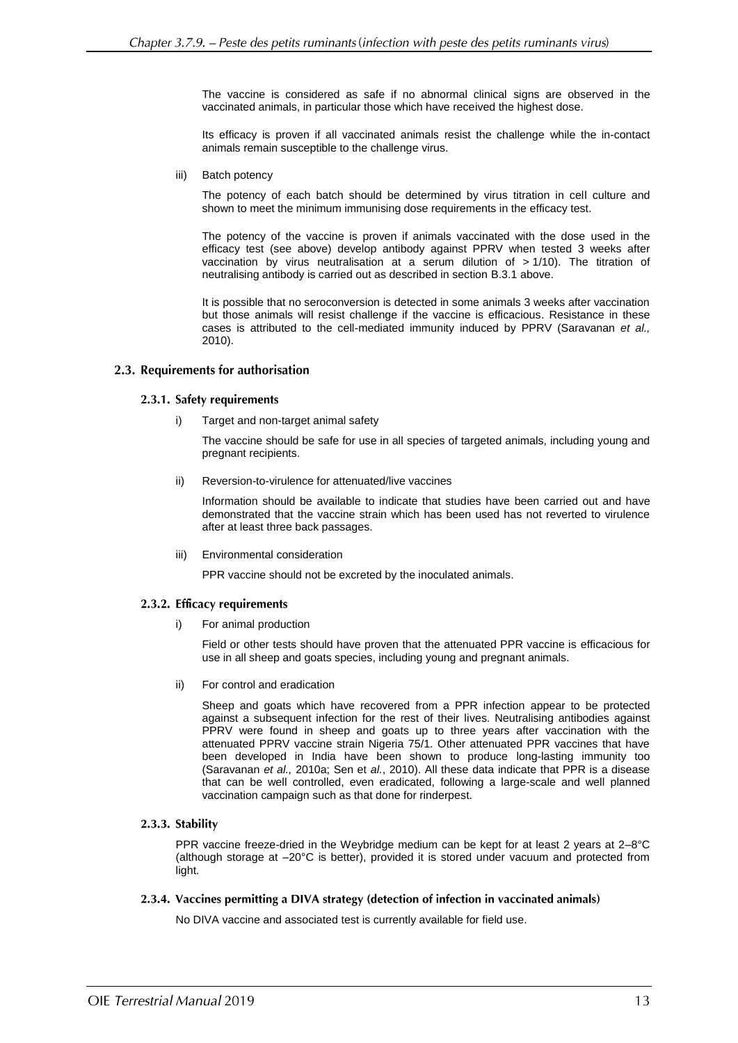The vaccine is considered as safe if no abnormal clinical signs are observed in the vaccinated animals, in particular those which have received the highest dose.

Its efficacy is proven if all vaccinated animals resist the challenge while the in-contact animals remain susceptible to the challenge virus.

iii) Batch potency

The potency of each batch should be determined by virus titration in cell culture and shown to meet the minimum immunising dose requirements in the efficacy test.

The potency of the vaccine is proven if animals vaccinated with the dose used in the efficacy test (see above) develop antibody against PPRV when tested 3 weeks after vaccination by virus neutralisation at a serum dilution of  $> 1/10$ ). The titration of neutralising antibody is carried out as described in section B.3.1 above.

It is possible that no seroconversion is detected in some animals 3 weeks after vaccination but those animals will resist challenge if the vaccine is efficacious. Resistance in these cases is attributed to the cell-mediated immunity induced by PPRV (Saravanan *et al.,* 2010).

#### 2.3. Requirements for authorisation

#### 2.3.1. Safety requirements

Target and non-target animal safety

The vaccine should be safe for use in all species of targeted animals, including young and pregnant recipients.

ii) Reversion-to-virulence for attenuated/live vaccines

Information should be available to indicate that studies have been carried out and have demonstrated that the vaccine strain which has been used has not reverted to virulence after at least three back passages.

iii) Environmental consideration

PPR vaccine should not be excreted by the inoculated animals.

## 2.3.2. Efficacy requirements

i) For animal production

Field or other tests should have proven that the attenuated PPR vaccine is efficacious for use in all sheep and goats species, including young and pregnant animals.

ii) For control and eradication

Sheep and goats which have recovered from a PPR infection appear to be protected against a subsequent infection for the rest of their lives. Neutralising antibodies against PPRV were found in sheep and goats up to three years after vaccination with the attenuated PPRV vaccine strain Nigeria 75/1. Other attenuated PPR vaccines that have been developed in India have been shown to produce long-lasting immunity too (Saravanan *et al.,* 2010a; Sen et *al.*, 2010). All these data indicate that PPR is a disease that can be well controlled, even eradicated, following a large-scale and well planned vaccination campaign such as that done for rinderpest.

## 2.3.3. Stability

PPR vaccine freeze-dried in the Weybridge medium can be kept for at least 2 years at 2–8°C (although storage at –20°C is better), provided it is stored under vacuum and protected from light.

## 2.3.4. Vaccines permitting a DIVA strategy (detection of infection in vaccinated animals)

No DIVA vaccine and associated test is currently available for field use.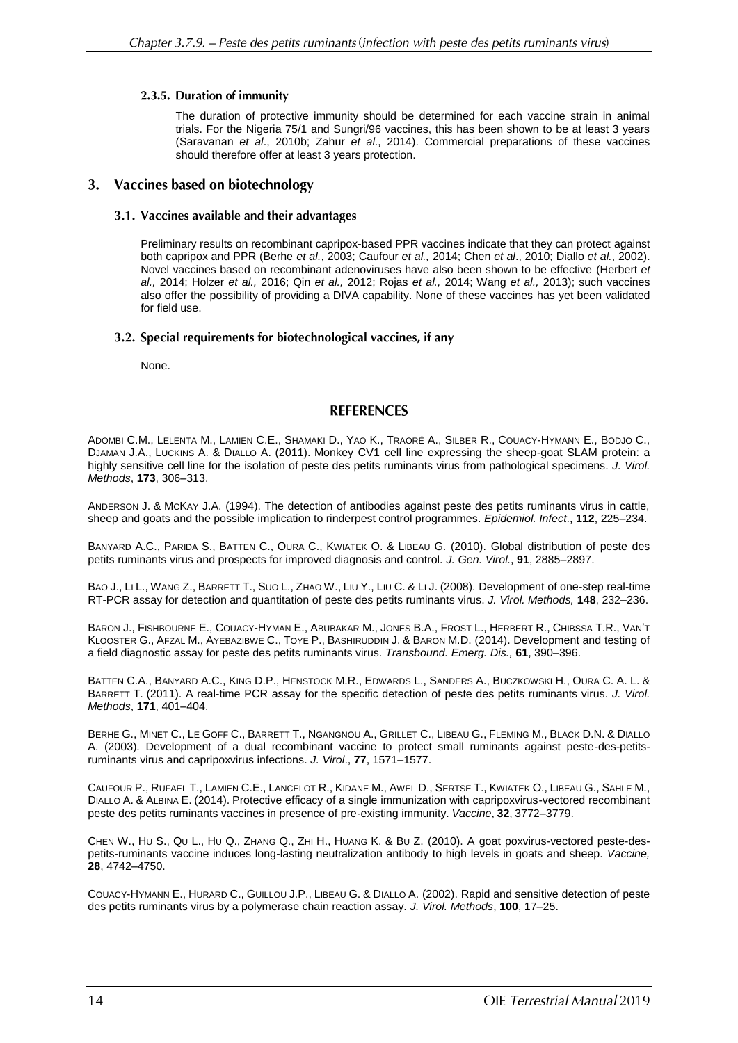# 2.3.5. Duration of immunity

The duration of protective immunity should be determined for each vaccine strain in animal trials. For the Nigeria 75/1 and Sungri/96 vaccines, this has been shown to be at least 3 years (Saravanan *et al*., 2010b; Zahur *et al*., 2014). Commercial preparations of these vaccines should therefore offer at least 3 years protection.

# 3. Vaccines based on biotechnology

# 3.1. Vaccines available and their advantages

Preliminary results on recombinant capripox-based PPR vaccines indicate that they can protect against both capripox and PPR (Berhe *et al.*, 2003; Caufour *et al.,* 2014; Chen *et al*., 2010; Diallo *et al.*, 2002). Novel vaccines based on recombinant adenoviruses have also been shown to be effective (Herbert *et al.,* 2014; Holzer *et al.,* 2016; Qin *et al.,* 2012; Rojas *et al.,* 2014; Wang *et al.,* 2013); such vaccines also offer the possibility of providing a DIVA capability. None of these vaccines has yet been validated for field use.

# 3.2. Special requirements for biotechnological vaccines, if any

None.

# **REFERENCES**

ADOMBI C.M., LELENTA M., LAMIEN C.E., SHAMAKI D., YAO K., TRAORÉ A., SILBER R., COUACY-HYMANN E., BODJO C., DJAMAN J.A., LUCKINS A. & DIALLO A. (2011). Monkey CV1 cell line expressing the sheep-goat SLAM protein: a highly sensitive cell line for the isolation of peste des petits ruminants virus from pathological specimens. *J. Virol. Methods*, **173**, 306–313.

ANDERSON J. & MCKAY J.A. (1994). The detection of antibodies against peste des petits ruminants virus in cattle, sheep and goats and the possible implication to rinderpest control programmes. *Epidemiol. Infect*., **112**, 225–234.

BANYARD A.C., PARIDA S., BATTEN C., OURA C., KWIATEK O. & LIBEAU G. (2010). Global distribution of peste des petits ruminants virus and prospects for improved diagnosis and control. *J. Gen. Virol.*, **91**, 2885–2897.

BAO J., LI L., WANG Z., BARRETT T., SUO L., ZHAO W., LIU Y., LIU C. & LI J. (2008). Development of one-step real-time RT-PCR assay for detection and quantitation of peste des petits ruminants virus. *J. Virol. Methods,* **148**, 232–236.

BARON J., FISHBOURNE E., COUACY-HYMAN E., ABUBAKAR M., JONES B.A., FROST L., HERBERT R., CHIBSSA T.R., VAN'T KLOOSTER G., AFZAL M., AYEBAZIBWE C., TOYE P., BASHIRUDDIN J. & BARON M.D. (2014). Development and testing of a field diagnostic assay for peste des petits ruminants virus. *Transbound. Emerg. Dis.,* **61**, 390–396.

BATTEN C.A., BANYARD A.C., KING D.P., HENSTOCK M.R., EDWARDS L., SANDERS A., BUCZKOWSKI H., OURA C. A. L. & BARRETT T. (2011). A real-time PCR assay for the specific detection of peste des petits ruminants virus. *J. Virol. Methods*, **171**, 401–404.

BERHE G., MINET C., LE GOFF C., BARRETT T., NGANGNOU A., GRILLET C., LIBEAU G., FLEMING M., BLACK D.N. & DIALLO A. (2003). Development of a dual recombinant vaccine to protect small ruminants against peste-des-petitsruminants virus and capripoxvirus infections. *J. Virol*., **77**, 1571–1577.

CAUFOUR P., RUFAEL T., LAMIEN C.E., LANCELOT R., KIDANE M., AWEL D., SERTSE T., KWIATEK O., LIBEAU G., SAHLE M., DIALLO A. & ALBINA E. (2014). Protective efficacy of a single immunization with capripoxvirus-vectored recombinant peste des petits ruminants vaccines in presence of pre-existing immunity. *Vaccine*, **32**, 3772–3779.

CHEN W., HU S., QU L., HU Q., ZHANG Q., ZHI H., HUANG K. & BU Z. (2010). A goat poxvirus-vectored peste-despetits-ruminants vaccine induces long-lasting neutralization antibody to high levels in goats and sheep. *Vaccine,*  **28**, 4742–4750.

COUACY-HYMANN E., HURARD C., GUILLOU J.P., LIBEAU G. & DIALLO A. (2002). Rapid and sensitive detection of peste des petits ruminants virus by a polymerase chain reaction assay. *J. Virol. Methods*, **100**, 17–25.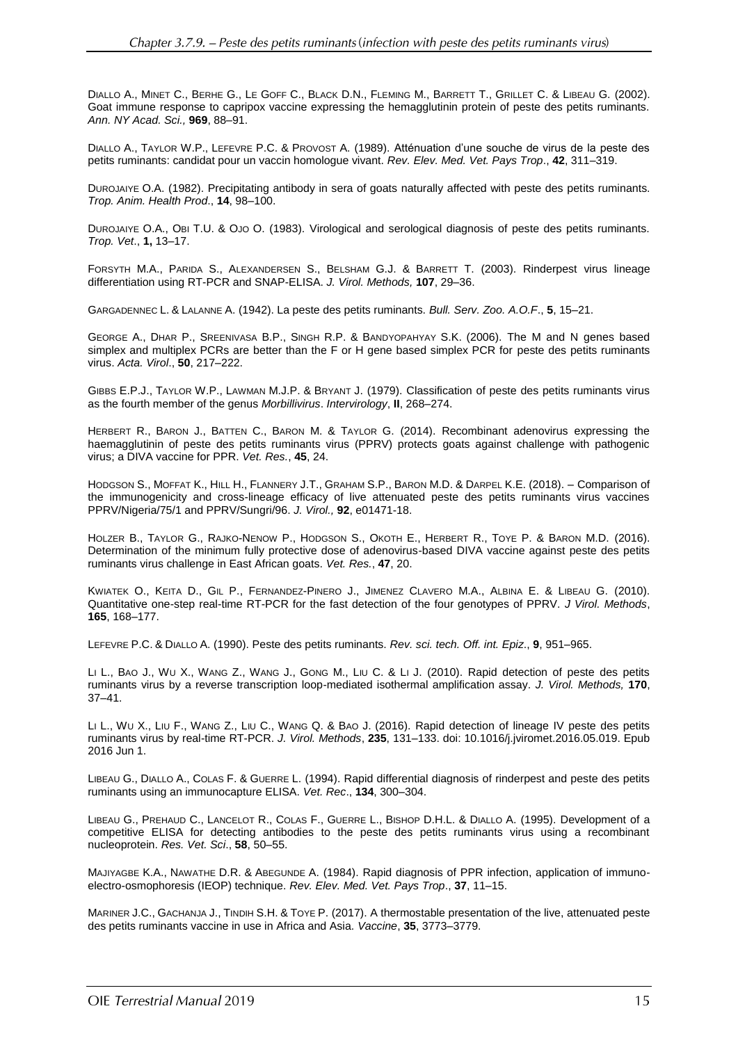DIALLO A., MINET C., BERHE G., LE GOFF C., BLACK D.N., FLEMING M., BARRETT T., GRILLET C. & LIBEAU G. (2002). Goat immune response to capripox vaccine expressing the hemagglutinin protein of peste des petits ruminants. *Ann. NY Acad. Sci.,* **969**, 88–91.

DIALLO A., TAYLOR W.P., LEFEVRE P.C. & PROVOST A. (1989). Atténuation d'une souche de virus de la peste des petits ruminants: candidat pour un vaccin homologue vivant. *Rev. Elev. Med. Vet. Pays Trop*., **42**, 311–319.

DUROJAIYE O.A. (1982). Precipitating antibody in sera of goats naturally affected with peste des petits ruminants. *Trop. Anim. Health Prod*., **14**, 98–100.

DUROJAIYE O.A., OBI T.U. & OJO O. (1983). Virological and serological diagnosis of peste des petits ruminants. *Trop. Vet*., **1,** 13–17.

FORSYTH M.A., PARIDA S., ALEXANDERSEN S., BELSHAM G.J. & BARRETT T. (2003). Rinderpest virus lineage differentiation using RT-PCR and SNAP-ELISA. *J. Virol. Methods,* **107**, 29–36.

GARGADENNEC L. & LALANNE A. (1942). La peste des petits ruminants. *Bull. Serv. Zoo. A.O.F*., **5**, 15–21.

GEORGE A., DHAR P., SREENIVASA B.P., SINGH R.P. & BANDYOPAHYAY S.K. (2006). The M and N genes based simplex and multiplex PCRs are better than the F or H gene based simplex PCR for peste des petits ruminants virus. *Acta. Virol*., **50**, 217–222.

GIBBS E.P.J., TAYLOR W.P., LAWMAN M.J.P. & BRYANT J. (1979). Classification of peste des petits ruminants virus as the fourth member of the genus *Morbillivirus*. *Intervirology*, **II**, 268–274.

HERBERT R., BARON J., BATTEN C., BARON M. & TAYLOR G. (2014). Recombinant adenovirus expressing the haemagglutinin of peste des petits ruminants virus (PPRV) protects goats against challenge with pathogenic virus; a DIVA vaccine for PPR. *Vet. Res.*, **45**, 24.

HODGSON S., MOFFAT K., HILL H., FLANNERY J.T., GRAHAM S.P., BARON M.D. & DARPEL K.E. (2018). – Comparison of the immunogenicity and cross-lineage efficacy of live attenuated peste des petits ruminants virus vaccines PPRV/Nigeria/75/1 and PPRV/Sungri/96. *J. Virol.,* **92**, e01471-18.

HOLZER B., TAYLOR G., RAJKO-NENOW P., HODGSON S., OKOTH E., HERBERT R., TOYE P. & BARON M.D. (2016). Determination of the minimum fully protective dose of adenovirus-based DIVA vaccine against peste des petits ruminants virus challenge in East African goats. *Vet. Res.*, **47**, 20.

KWIATEK O., KEITA D., GIL P., FERNANDEZ-PINERO J., JIMENEZ CLAVERO M.A., ALBINA E. & LIBEAU G. (2010). Quantitative one-step real-time RT-PCR for the fast detection of the four genotypes of PPRV. *J Virol. Methods*, **165**, 168–177.

LEFEVRE P.C. & DIALLO A. (1990). Peste des petits ruminants. *Rev. sci. tech. Off. int. Epiz*., **9**, 951–965.

LI [L.](http://www.ncbi.nlm.nih.gov/pubmed?term=%22Li%20L%22%5BAuthor%5D), B[AO](http://www.ncbi.nlm.nih.gov/pubmed?term=%22Bao%20J%22%5BAuthor%5D) J., [W](http://www.ncbi.nlm.nih.gov/pubmed?term=%22Wu%20X%22%5BAuthor%5D)U X., W[ANG](http://www.ncbi.nlm.nih.gov/pubmed?term=%22Wang%20Z%22%5BAuthor%5D) Z., W[ANG](http://www.ncbi.nlm.nih.gov/pubmed?term=%22Wang%20J%22%5BAuthor%5D) J., G[ONG](http://www.ncbi.nlm.nih.gov/pubmed?term=%22Gong%20M%22%5BAuthor%5D) M., LIU [C.](http://www.ncbi.nlm.nih.gov/pubmed?term=%22Liu%20C%22%5BAuthor%5D) & LI [J.](http://www.ncbi.nlm.nih.gov/pubmed?term=%22Li%20J%22%5BAuthor%5D) (2010). Rapid detection of peste des petits ruminants virus by a reverse transcription loop-mediated isothermal amplification assay. *[J. Virol. Methods,](http://www.ncbi.nlm.nih.gov/pubmed/20813134)* **170**, 37–41.

LI L., WU X., LIU F., WANG Z., LIU C., WANG Q. & BAO J. (2016). Rapid detection of lineage IV peste des petits ruminants virus by real-time RT-PCR. *J. Virol. Methods*, **235**, 131–133. doi: 10.1016/j.jviromet.2016.05.019. Epub 2016 Jun 1.

LIBEAU G., DIALLO A., COLAS F. & GUERRE L. (1994). Rapid differential diagnosis of rinderpest and peste des petits ruminants using an immunocapture ELISA. *Vet. Rec*., **134**, 300–304.

LIBEAU G., PREHAUD C., LANCELOT R., COLAS F., GUERRE L., BISHOP D.H.L. & DIALLO A. (1995). Development of a competitive ELISA for detecting antibodies to the peste des petits ruminants virus using a recombinant nucleoprotein. *Res. Vet. Sci*., **58**, 50–55.

MAJIYAGBE K.A., NAWATHE D.R. & ABEGUNDE A. (1984). Rapid diagnosis of PPR infection, application of immunoelectro-osmophoresis (IEOP) technique. *Rev. Elev. Med. Vet. Pays Trop*., **37**, 11–15.

MARINER J.C., GACHANJA J., TINDIH S.H. & TOYE P. (2017). A thermostable presentation of the live, attenuated peste des petits ruminants vaccine in use in Africa and Asia. *Vaccine*, **35**, 3773–3779.